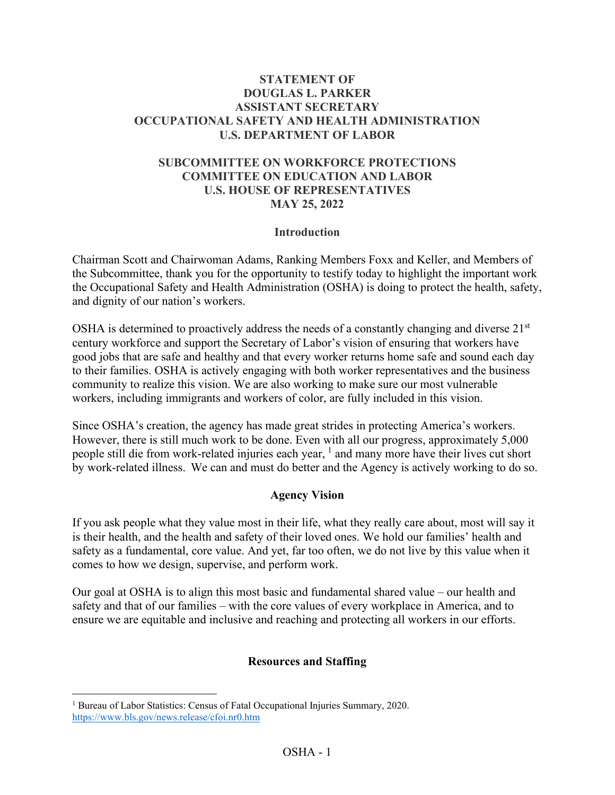### **STATEMENT OF DOUGLAS L. PARKER ASSISTANT SECRETARY OCCUPATIONAL SAFETY AND HEALTH ADMINISTRATION U.S. DEPARTMENT OF LABOR**

## **SUBCOMMITTEE ON WORKFORCE PROTECTIONS COMMITTEE ON EDUCATION AND LABOR U.S. HOUSE OF REPRESENTATIVES MAY 25, 2022**

#### **Introduction**

Chairman Scott and Chairwoman Adams, Ranking Members Foxx and Keller, and Members of the Subcommittee, thank you for the opportunity to testify today to highlight the important work the Occupational Safety and Health Administration (OSHA) is doing to protect the health, safety, and dignity of our nation's workers.

OSHA is determined to proactively address the needs of a constantly changing and diverse  $21<sup>st</sup>$ century workforce and support the Secretary of Labor's vision of ensuring that workers have good jobs that are safe and healthy and that every worker returns home safe and sound each day to their families. OSHA is actively engaging with both worker representatives and the business community to realize this vision. We are also working to make sure our most vulnerable workers, including immigrants and workers of color, are fully included in this vision.

Since OSHA's creation, the agency has made great strides in protecting America's workers. However, there is still much work to be done. Even with all our progress, approximately 5,000 people still die from work-related injuries each year, <sup>[1](#page-0-0)</sup> and many more have their lives cut short by work-related illness. We can and must do better and the Agency is actively working to do so.

### **Agency Vision**

If you ask people what they value most in their life, what they really care about, most will say it is their health, and the health and safety of their loved ones. We hold our families' health and safety as a fundamental, core value. And yet, far too often, we do not live by this value when it comes to how we design, supervise, and perform work.

Our goal at OSHA is to align this most basic and fundamental shared value – our health and safety and that of our families – with the core values of every workplace in America, and to ensure we are equitable and inclusive and reaching and protecting all workers in our efforts.

### **Resources and Staffing**

<span id="page-0-0"></span><sup>&</sup>lt;sup>1</sup> Bureau of Labor Statistics: Census of Fatal Occupational Injuries Summary, 2020. <https://www.bls.gov/news.release/cfoi.nr0.htm>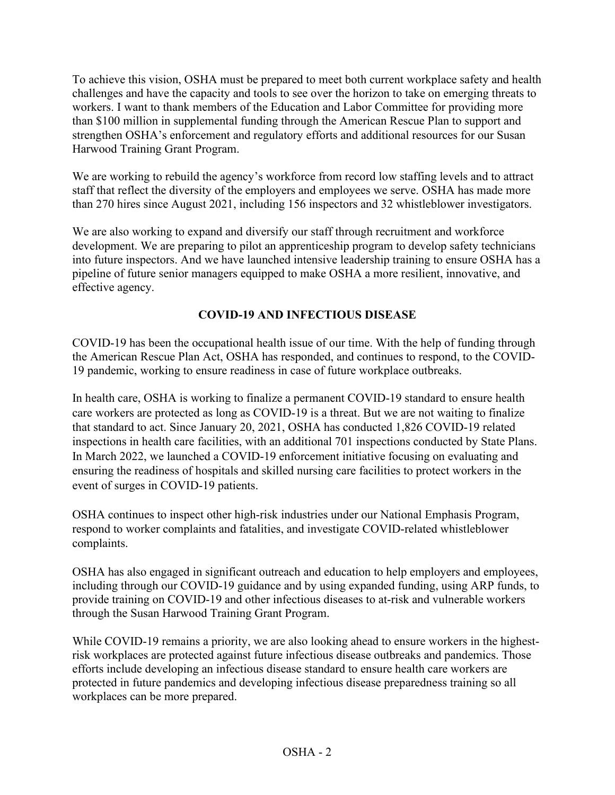To achieve this vision, OSHA must be prepared to meet both current workplace safety and health challenges and have the capacity and tools to see over the horizon to take on emerging threats to workers. I want to thank members of the Education and Labor Committee for providing more than \$100 million in supplemental funding through the American Rescue Plan to support and strengthen OSHA's enforcement and regulatory efforts and additional resources for our Susan Harwood Training Grant Program.

We are working to rebuild the agency's workforce from record low staffing levels and to attract staff that reflect the diversity of the employers and employees we serve. OSHA has made more than 270 hires since August 2021, including 156 inspectors and 32 whistleblower investigators.

We are also working to expand and diversify our staff through recruitment and workforce development. We are preparing to pilot an apprenticeship program to develop safety technicians into future inspectors. And we have launched intensive leadership training to ensure OSHA has a pipeline of future senior managers equipped to make OSHA a more resilient, innovative, and effective agency.

# **COVID-19 AND INFECTIOUS DISEASE**

COVID-19 has been the occupational health issue of our time. With the help of funding through the American Rescue Plan Act, OSHA has responded, and continues to respond, to the COVID-19 pandemic, working to ensure readiness in case of future workplace outbreaks.

In health care, OSHA is working to finalize a permanent COVID-19 standard to ensure health care workers are protected as long as COVID-19 is a threat. But we are not waiting to finalize that standard to act. Since January 20, 2021, OSHA has conducted 1,826 COVID-19 related inspections in health care facilities, with an additional 701 inspections conducted by State Plans. In March 2022, we launched a COVID-19 enforcement initiative focusing on evaluating and ensuring the readiness of hospitals and skilled nursing care facilities to protect workers in the event of surges in COVID-19 patients.

OSHA continues to inspect other high-risk industries under our National Emphasis Program, respond to worker complaints and fatalities, and investigate COVID-related whistleblower complaints.

OSHA has also engaged in significant outreach and education to help employers and employees, including through our COVID-19 guidance and by using expanded funding, using ARP funds, to provide training on COVID-19 and other infectious diseases to at-risk and vulnerable workers through the Susan Harwood Training Grant Program.

While COVID-19 remains a priority, we are also looking ahead to ensure workers in the highestrisk workplaces are protected against future infectious disease outbreaks and pandemics. Those efforts include developing an infectious disease standard to ensure health care workers are protected in future pandemics and developing infectious disease preparedness training so all workplaces can be more prepared.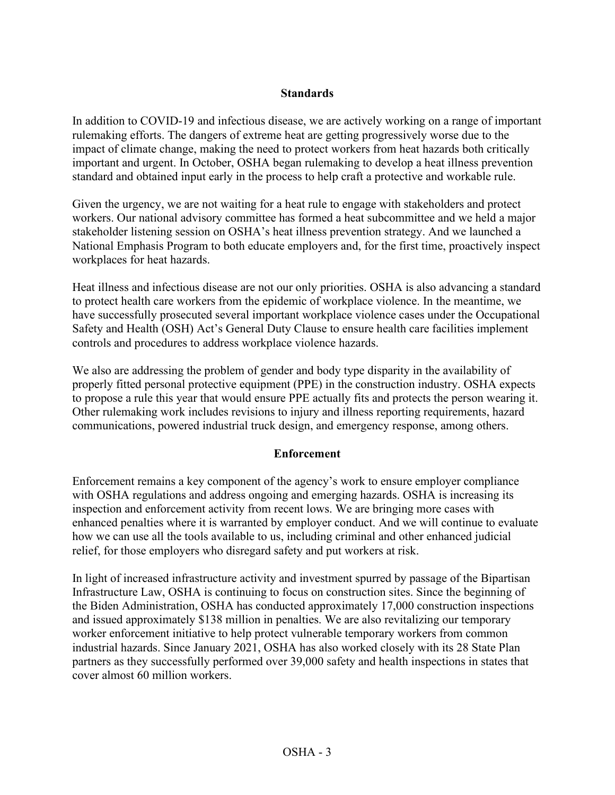## **Standards**

In addition to COVID-19 and infectious disease, we are actively working on a range of important rulemaking efforts. The dangers of extreme heat are getting progressively worse due to the impact of climate change, making the need to protect workers from heat hazards both critically important and urgent. In October, OSHA began rulemaking to develop a heat illness prevention standard and obtained input early in the process to help craft a protective and workable rule.

Given the urgency, we are not waiting for a heat rule to engage with stakeholders and protect workers. Our national advisory committee has formed a heat subcommittee and we held a major stakeholder listening session on OSHA's heat illness prevention strategy. And we launched a National Emphasis Program to both educate employers and, for the first time, proactively inspect workplaces for heat hazards.

Heat illness and infectious disease are not our only priorities. OSHA is also advancing a standard to protect health care workers from the epidemic of workplace violence. In the meantime, we have successfully prosecuted several important workplace violence cases under the Occupational Safety and Health (OSH) Act's General Duty Clause to ensure health care facilities implement controls and procedures to address workplace violence hazards.

We also are addressing the problem of gender and body type disparity in the availability of properly fitted personal protective equipment (PPE) in the construction industry. OSHA expects to propose a rule this year that would ensure PPE actually fits and protects the person wearing it. Other rulemaking work includes revisions to injury and illness reporting requirements, hazard communications, powered industrial truck design, and emergency response, among others.

### **Enforcement**

Enforcement remains a key component of the agency's work to ensure employer compliance with OSHA regulations and address ongoing and emerging hazards. OSHA is increasing its inspection and enforcement activity from recent lows. We are bringing more cases with enhanced penalties where it is warranted by employer conduct. And we will continue to evaluate how we can use all the tools available to us, including criminal and other enhanced judicial relief, for those employers who disregard safety and put workers at risk.

In light of increased infrastructure activity and investment spurred by passage of the Bipartisan Infrastructure Law, OSHA is continuing to focus on construction sites. Since the beginning of the Biden Administration, OSHA has conducted approximately 17,000 construction inspections and issued approximately \$138 million in penalties. We are also revitalizing our temporary worker enforcement initiative to help protect vulnerable temporary workers from common industrial hazards. Since January 2021, OSHA has also worked closely with its 28 State Plan partners as they successfully performed over 39,000 safety and health inspections in states that cover almost 60 million workers.